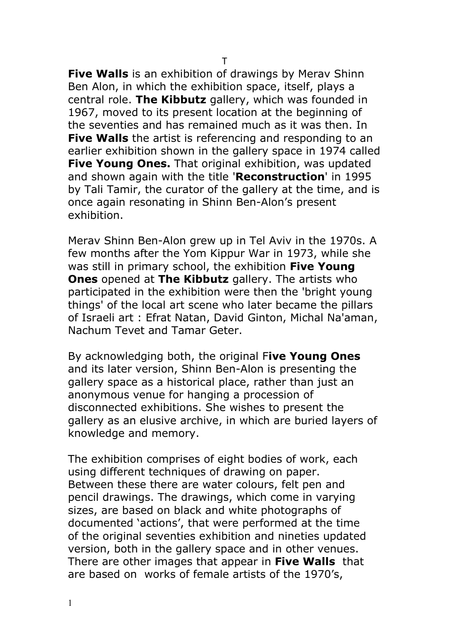**Five Walls** is an exhibition of drawings by Merav Shinn Ben Alon, in which the exhibition space, itself, plays a central role. **The Kibbutz** gallery, which was founded in 1967, moved to its present location at the beginning of the seventies and has remained much as it was then. In **Five Walls** the artist is referencing and responding to an earlier exhibition shown in the gallery space in 1974 called **Five Young Ones.** That original exhibition, was updated and shown again with the title '**Reconstruction**' in 1995 by Tali Tamir, the curator of the gallery at the time, and is once again resonating in Shinn Ben-Alon's present exhibition.

Merav Shinn Ben-Alon grew up in Tel Aviv in the 1970s. A few months after the Yom Kippur War in 1973, while she was still in primary school, the exhibition **Five Young Ones** opened at **The Kibbutz** gallery. The artists who participated in the exhibition were then the 'bright young things' of the local art scene who later became the pillars of Israeli art : Efrat Natan, David Ginton, Michal Na'aman, Nachum Tevet and Tamar Geter.

By acknowledging both, the original F**ive Young Ones** and its later version, Shinn Ben-Alon is presenting the gallery space as a historical place, rather than just an anonymous venue for hanging a procession of disconnected exhibitions. She wishes to present the gallery as an elusive archive, in which are buried layers of knowledge and memory.

The exhibition comprises of eight bodies of work, each using different techniques of drawing on paper. Between these there are water colours, felt pen and pencil drawings. The drawings, which come in varying sizes, are based on black and white photographs of documented 'actions', that were performed at the time of the original seventies exhibition and nineties updated version, both in the gallery space and in other venues. There are other images that appear in **Five Walls** that are based on works of female artists of the 1970's,